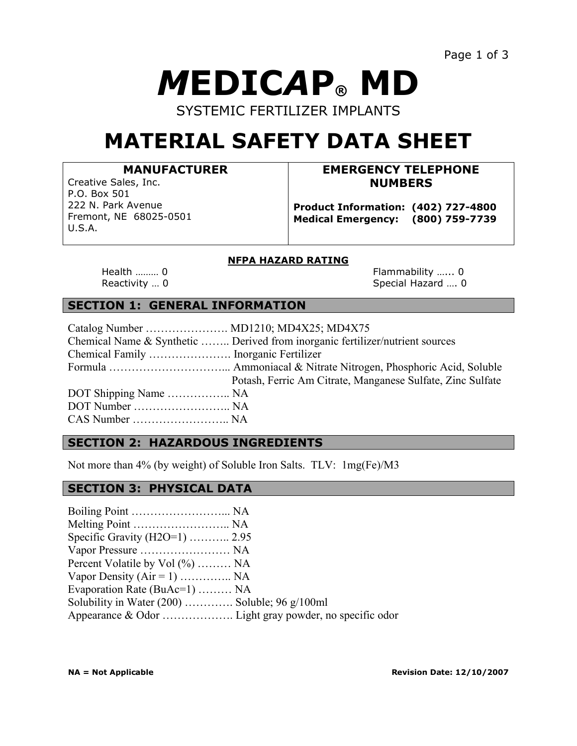# *M***EDIC***A***P® MD**

SYSTEMIC FERTILIZER IMPLANTS

# **MATERIAL SAFETY DATA SHEET**

#### **MANUFACTURER**

Creative Sales, Inc. P.O. Box 501 222 N. Park Avenue Fremont, NE 68025-0501 U.S.A.

# **EMERGENCY TELEPHONE NUMBERS**

**Product Information: (402) 727-4800 Medical Emergency: (800) 759-7739**

#### **NFPA HAZARD RATING**

Health ……… 0 **Flammability ……** 0 Reactivity … 0 Special Hazard …. 0

# **SECTION 1: GENERAL INFORMATION**

|                       | Chemical Name & Synthetic  Derived from inorganic fertilizer/nutrient sources |
|-----------------------|-------------------------------------------------------------------------------|
|                       |                                                                               |
|                       |                                                                               |
|                       | Potash, Ferric Am Citrate, Manganese Sulfate, Zinc Sulfate                    |
| DOT Shipping Name  NA |                                                                               |
|                       |                                                                               |
|                       |                                                                               |

#### **SECTION 2: HAZARDOUS INGREDIENTS**

Not more than 4% (by weight) of Soluble Iron Salts. TLV: 1mg(Fe)/M3

#### **SECTION 3: PHYSICAL DATA**

| Specific Gravity (H2O=1)  2.95                  |  |
|-------------------------------------------------|--|
|                                                 |  |
| Percent Volatile by Vol (%)  NA                 |  |
| Vapor Density ( $Air = 1$ )  NA                 |  |
| Evaporation Rate (BuAc=1)  NA                   |  |
| Solubility in Water $(200)$ Soluble; 96 g/100ml |  |
|                                                 |  |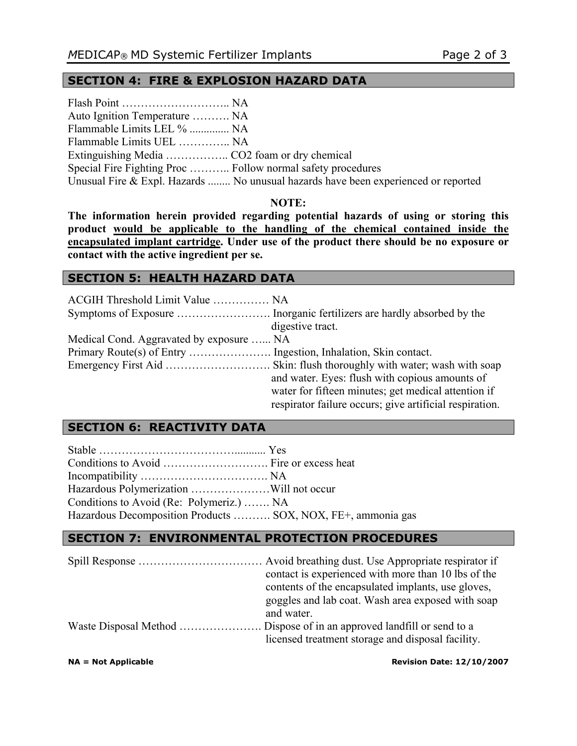# **SECTION 4: FIRE & EXPLOSION HAZARD DATA**

| Auto Ignition Temperature  NA                               |                                                                                    |
|-------------------------------------------------------------|------------------------------------------------------------------------------------|
| Flammable Limits LEL %  NA                                  |                                                                                    |
| Flammable Limits UEL  NA                                    |                                                                                    |
|                                                             |                                                                                    |
| Special Fire Fighting Proc  Follow normal safety procedures |                                                                                    |
|                                                             | Unusual Fire & Expl. Hazards  No unusual hazards have been experienced or reported |

#### **NOTE:**

**The information herein provided regarding potential hazards of using or storing this product would be applicable to the handling of the chemical contained inside the encapsulated implant cartridge. Under use of the product there should be no exposure or contact with the active ingredient per se.**

#### **SECTION 5: HEALTH HAZARD DATA**

| ACGIH Threshold Limit Value  NA          |                                                         |
|------------------------------------------|---------------------------------------------------------|
|                                          |                                                         |
|                                          | digestive tract.                                        |
| Medical Cond. Aggravated by exposure  NA |                                                         |
|                                          |                                                         |
|                                          |                                                         |
|                                          | and water. Eyes: flush with copious amounts of          |
|                                          | water for fifteen minutes; get medical attention if     |
|                                          | respirator failure occurs; give artificial respiration. |

### **SECTION 6: REACTIVITY DATA**

| Conditions to Avoid (Re: Polymeriz.)  NA                     |  |
|--------------------------------------------------------------|--|
| Hazardous Decomposition Products  SOX, NOX, FE+, ammonia gas |  |

## **SECTION 7: ENVIRONMENTAL PROTECTION PROCEDURES**

| contact is experienced with more than 10 lbs of the |
|-----------------------------------------------------|
| contents of the encapsulated implants, use gloves,  |
| goggles and lab coat. Wash area exposed with soap   |
| and water.                                          |
|                                                     |
| licensed treatment storage and disposal facility.   |